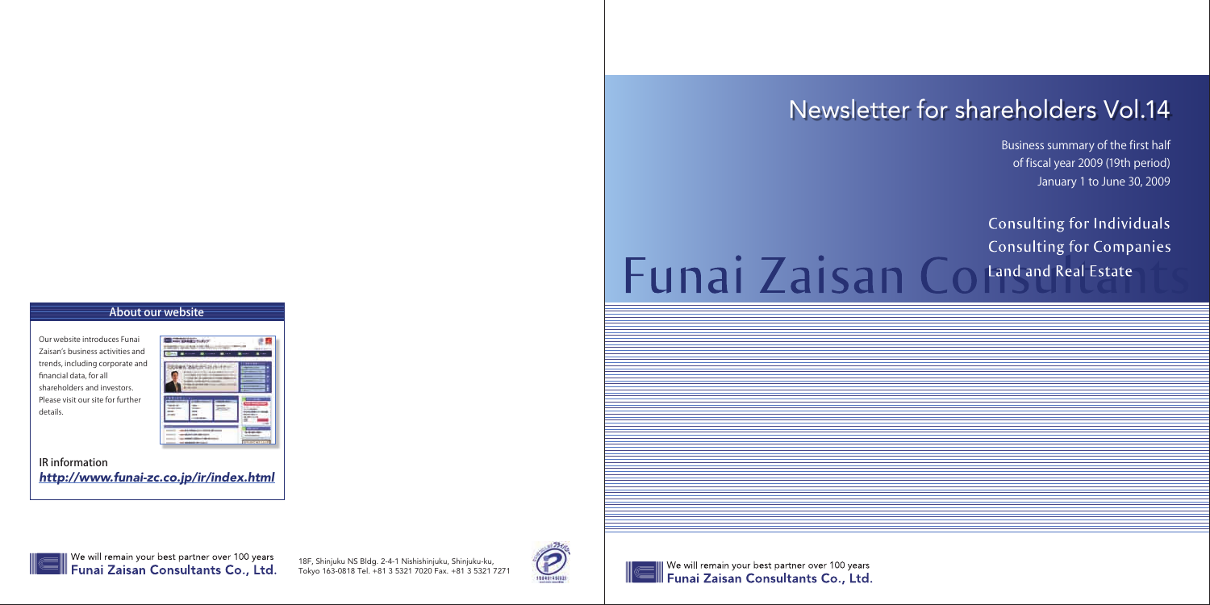### About our website

Our website introduces Funai Zaisan's business activities and trends, including corporate and financial data, for all shareholders and investors. Please visit our site for further details.



IR information *http://www.funai-zc.co.jp/ir/index.html*



We will remain your best partner over 100 years Funai Zaisan Consultants Co., Ltd. Business summary of the first half of fiscal year 2009 (19th period) January 1 to June 30, 2009

Consulting for Individuals **Consulting for Companies** 

# Newsletter for shareholders Vol.14

# Funai Zaisan Coland and Real Estate

18F, Shinjuku NS Bldg. 2-4-1 Nishishinjuku, Shinjuku-ku, Tokyo 163-0818 Tel. +81 3 5321 7020 Fax. +81 3 5321 7271



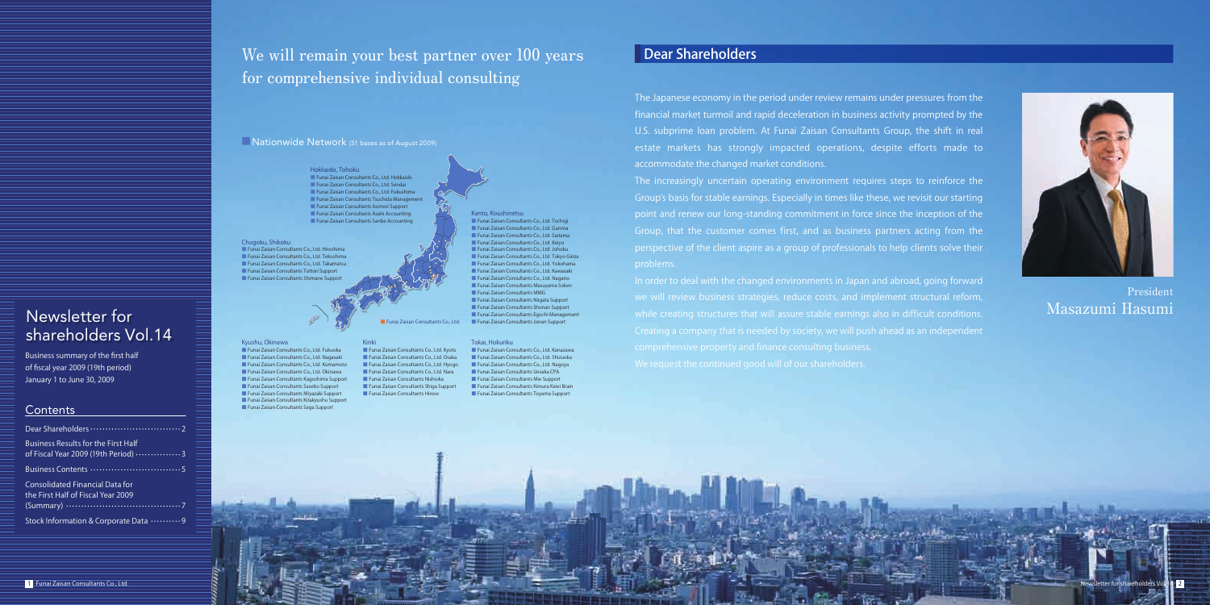



### Dear Shareholders

The Japanese economy in the period under review remains under pressures from the financial market turmoil and rapid deceleration in business activity prompted by the U.S. subprime loan problem. At Funai Zaisan Consultants Group, the shift in real estate markets has strongly impacted operations, despite efforts made to accommodate the changed market conditions.

The increasingly uncertain operating environment requires steps to reinforce the Group's basis for stable earnings. Especially in times like these, we revisit our starting point and renew our long-standing commitment in force since the inception of the Group, that the customer comes first, and as business partners acting from the perspective of the client aspire as a group of professionals to help clients solve their problems.

| Business Results for the First Half<br>of Fiscal Year 2009 (19th Period)  3 |
|-----------------------------------------------------------------------------|
|                                                                             |
| Consolidated Financial Data for<br>the First Half of Fiscal Year 2009       |
| Stock Information & Corporate Data  9                                       |

Hokkaido, Tohoku ■ Funai Zaisan Consultants Co., Ltd. Hokkaido ■ Funai Zaisan Consultants Co., Ltd. Sendai ■ Funai Zaisan Consultants Co., Ltd. Fukushima ■ Funai Zaisan Consultants Tsuchida Management ■ Funai Zaisan Consultants Aomori Support ■ Funai Zaisan Consultants Asahi Accounting ■ Funai Zaisan Consultants Sanbe Accounting

> In order to deal with the changed environments in Japan and abroad, going forward we will review business strategies, reduce costs, and implement structural reform, while creating structures that will assure stable earnings also in difficult conditions. comprehensive property and finance consulting business.

**Contents** 

We will remain your best partner over 100 years for comprehensive individual consulting

> Kinki ■ Funai Zaisan Consultants Co., Ltd. Kyoto ■ Funai Zaisan Consultants Co., Ltd. Osaka ■ Funai Zaisan Consultants Co., Ltd. Hyogo ■ Funai Zaisan Consultants Co., Ltd. Nara ■ Funai Zaisan Consultants Nishioka ■ Funai Zaisan Consultants Shiga Support ■ Funai Zaisan Consultants Hirose

President Masazumi Hasumi

#### Kyushu, Okinawa ■ Funai Zaisan Consultants Co., Ltd. Fukuoka ■ Funai Zaisan Consultants Co., Ltd. Nagasaki ■ Funai Zaisan Consultants Co., Ltd. Kumamoto ■ Funai Zaisan Consultants Co., Ltd. Okinawa ■ Funai Zaisan Consultants Kagoshima Support ■ Funai Zaisan Consultants Sasebo Support ■ Funai Zaisan Consultants Miyazaki Support ■ Funai Zaisan Consultants Kitakyushu Support ■ Funai Zaisan Consultants Saga Support

■Nationwide Network (51 bases as of August 2009)

■ Funai Zaisan Consultants Co., Ltd. Kanazawa ■ Funai Zaisan Consultants Co., Ltd. Shizuoka ■ Funai Zaisan Consultants Co., Ltd. Nagoya ■ Funai Zaisan Consultants Uesaka CPA ■ Funai Zaisan Consultants Mie Support ■ Funai Zaisan Consultants Kimura Keiei Brain ■ Funai Zaisan Consultants Toyama Support

#### Chugoku, Shikoku ■ Funai Zaisan Consultants Co., Ltd. Hiroshima ■ Funai Zaisan Consultants Co., Ltd. Tokushima ■ Funai Zaisan Consultants Co., Ltd. Takamatsu ■ Funai Zaisan Consultants Tottori Support ■ Funai Zaisan Consultants Shimane Suppo

Kanto, Koushinetsu ■ Funai Zaisan Consultants Co., Ltd. Tochigi ■ Funai Zaisan Consultants Co., Ltd. Gunma ■ Funai Zaisan Consultants Co., Ltd. Saitama ■ Funai Zaisan Consultants Co., Ltd. Keiyo ■ Funai Zaisan Consultants Co., Ltd. Johoku ■ Funai Zaisan Consultants Co., Ltd. Tokyo Ginza ■ Funai Zaisan Consultants Co., Ltd. Yokohama ■ Funai Zaisan Consultants Co., Ltd. Kawasaki ■ Funai Zaisan Consultants Co., Ltd. Nagano ■ Funai Zaisan Consultants Masuvama Soken ■ Funai Zaisan Consultants MMG ■ Funai Zaisan Consultants Niigata Support ■ Funai Zaisan Consultants Shonan Support ■ Funai Zaisan Consultants Eguchi Management ■ Funai Zaisan Consultants Co., Ltd. ■ Funai Zaisan Consultants Jonan Support

#### Tokai, Hokuriku

Business summary of the first half of fiscal year 2009 (19th period) January 1 to June 30, 2009

shareholders Vol.14

Newsletter for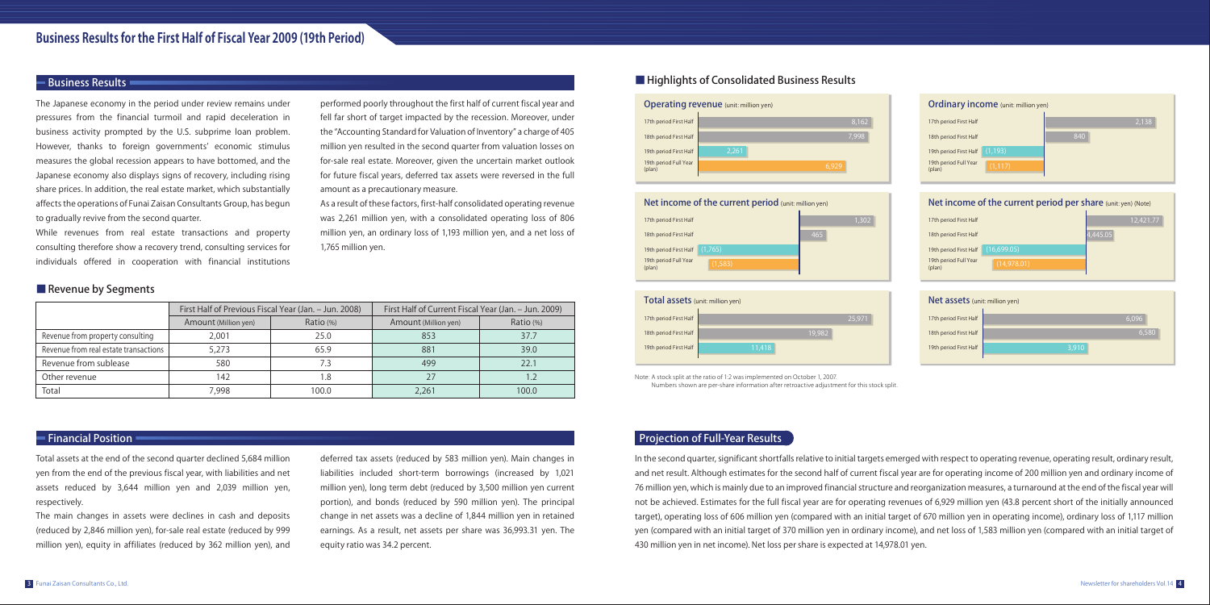| irst Half | 6,096 |  |
|-----------|-------|--|
| irst Half | 6,580 |  |
| irst Half | 3,910 |  |
|           |       |  |

| <b>DME of the current period per share</b> (unit: yen) (Note) |           |  |  |
|---------------------------------------------------------------|-----------|--|--|
| irst Half                                                     | 12,421.77 |  |  |
| irst Half                                                     | 445.05    |  |  |
| (16,699.05)<br>irst Half                                      |           |  |  |
| ull Year<br>(14,978.01)                                       |           |  |  |
|                                                               |           |  |  |
| <b>ets</b> (unit: million yen)                                |           |  |  |

The Japanese economy in the period under review remains under pressures from the financial turmoil and rapid deceleration in business activity prompted by the U.S. subprime loan problem. However, thanks to foreign governments' economic stimulus measures the global recession appears to have bottomed, and the Japanese economy also displays signs of recovery, including rising share prices. In addition, the real estate market, which substantially affects the operations of Funai Zaisan Consultants Group, has begun to gradually revive from the second quarter.

While revenues from real estate transactions and property consulting therefore show a recovery trend, consulting services for individuals offered in cooperation with financial institutions performed poorly throughout the first half of current fiscal year and fell far short of target impacted by the recession. Moreover, under the "Accounting Standard for Valuation of Inventory" a charge of 405 million yen resulted in the second quarter from valuation losses on for-sale real estate. Moreover, given the uncertain market outlook for future fiscal years, deferred tax assets were reversed in the full amount as a precautionary measure.

As a result of these factors, first-half consolidated operating revenue was 2,261 million yen, with a consolidated operating loss of 806 million yen, an ordinary loss of 1,193 million yen, and a net loss of 1,765 million yen.

#### ■ Revenue by Segments

Total assets at the end of the second quarter declined 5,684 million yen from the end of the previous fiscal year, with liabilities and net assets reduced by 3,644 million yen and 2,039 million yen, respectively.

| Total assets (unit: million yen) |        |        |
|----------------------------------|--------|--------|
| 17th period First Half           |        | 25.971 |
| 18th period First Half           | 19,982 |        |
| 19th period First Half           | 11,418 |        |
|                                  |        |        |

The main changes in assets were declines in cash and deposits (reduced by 2,846 million yen), for-sale real estate (reduced by 999 million yen), equity in affiliates (reduced by 362 million yen), and 19th period F (plan)

#### Net asset

17th period F 18th period F

19th period F

| y income (unit: million yen) |       |  |
|------------------------------|-------|--|
| irst Half                    | 2,138 |  |
| irst Half                    | 840   |  |
| irst Half<br>(1, 193)        |       |  |
| ull Year<br>(1, 117)         |       |  |
|                              |       |  |

#### Projection of Full-Year Results

In the second quarter, significant shortfalls relative to initial targets emerged with respect to operating revenue, operating result, ordinary result, and net result. Although estimates for the second half of current fiscal year are for operating income of 200 million yen and ordinary income of 76 million yen, which is mainly due to an improved financial structure and reorganization measures, a turnaround at the end of the fiscal year will not be achieved. Estimates for the full fiscal year are for operating revenues of 6,929 million yen (43.8 percent short of the initially announced target), operating loss of 606 million yen (compared with an initial target of 670 million yen in operating income), ordinary loss of 1,117 million yen (compared with an initial target of 370 million yen in ordinary income), and net loss of 1,583 million yen (compared with an initial target of 430 million yen in net income). Net loss per share is expected at 14,978.01 yen.

19th period F

#### Net income of the Net the current period per sense that the current period period period period period per share the current period period per share (0.4) and per share and period per share and period per share (0.4) and p

17th period F 18th period F

19th period F

#### Financial Position





|                                       | First Half of Previous Fiscal Year (Jan. - Jun. 2008) |           | First Half of Current Fiscal Year (Jan. - Jun. 2009) |           |
|---------------------------------------|-------------------------------------------------------|-----------|------------------------------------------------------|-----------|
|                                       | Amount (Million yen)                                  | Ratio (%) | Amount (Million yen)                                 | Ratio (%) |
| Revenue from property consulting      | 2.001                                                 | 25.0      | 853                                                  | 37.7      |
| Revenue from real estate transactions | 5.273                                                 | 65.9      | 881                                                  | 39.0      |
| Revenue from sublease                 | 580                                                   | 7.3       | 499                                                  | 22.1      |
| Other revenue                         | 142                                                   | .8        |                                                      |           |
| Total                                 | 7,998                                                 | 100.0     | 2,261                                                | 100.0     |

Note: A stock split at the ratio of 1:2 was implemented on October 1, 2007. Numbers shown are per-share information after retroactive adjustment for this stock split.

deferred tax assets (reduced by 583 million yen). Main changes in liabilities included short-term borrowings (increased by 1,021 million yen), long term debt (reduced by 3,500 million yen current portion), and bonds (reduced by 590 million yen). The principal change in net assets was a decline of 1,844 million yen in retained earnings. As a result, net assets per share was 36,993.31 yen. The equity ratio was 34.2 percent.

#### Business Results **All and Security All and Security All and Security All and Security All and Security All and Security All and Security All and Security All and Security All and Security All and Security All and Security**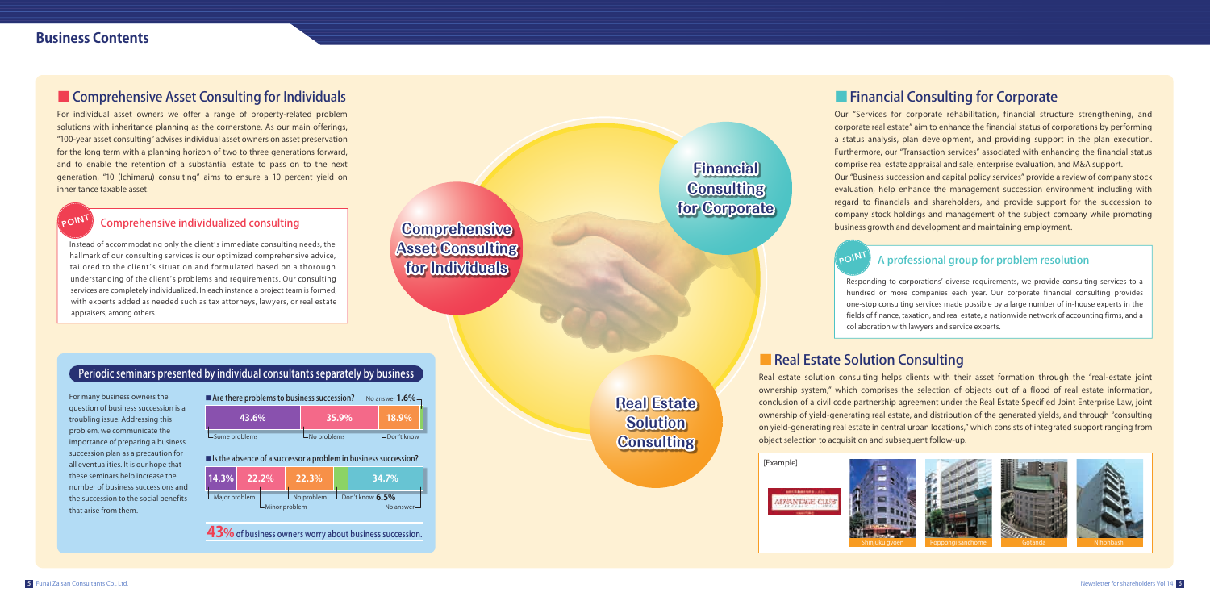**43%** of business owners worry about business succession.

For individual asset owners we offer a range of property-related problem solutions with inheritance planning as the cornerstone. As our main offerings, "100-year asset consulting" advises individual asset owners on asset preservation for the long term with a planning horizon of two to three generations forward, and to enable the retention of a substantial estate to pass on to the next generation, "10 (Ichimaru) consulting" aims to ensure a 10 percent yield on inheritance taxable asset.

For many business owners the question of business succession is a troubling issue. Addressing this problem, we communicate the importance of preparing a business succession plan as a precaution for all eventualities. It is our hope that these seminars help increase the number of business successions and the succession to the social benefits that arise from them.

Instead of accommodating only the client's immediate consulting needs, the hallmark of our consulting services is our optimized comprehensive advice, tailored to the client's situation and formulated based on a thorough understanding of the client's problems and requirements. Our consulting services are completely individualized. In each instance a project team is formed, with experts added as needed such as tax attorneys, lawyers, or real estate appraisers, among others.

Responding to corporations' diverse requirements, we provide consulting services to a hundred or more companies each year. Our corporate financial consulting provides one-stop consulting services made possible by a large number of in-house experts in the fields of finance, taxation, and real estate, a nationwide network of accounting firms, and a collaboration with lawyers and service experts.

### ■ Real Estate Solution Consulting

| $\blacksquare$ Are there problems to business succession? |                          | No answer $1.6\%$ $-$ |
|-----------------------------------------------------------|--------------------------|-----------------------|
| 43.6%                                                     | 35.9%                    | 18.9%                 |
| $\mathsf{\mathsf{L}}$ Some problems                       | $\mathsf{L}$ No problems | $\n  Don't know\n$    |

Our "Services for corporate rehabilitation, financial structure strengthening, and corporate real estate" aim to enhance the financial status of corporations by performing a status analysis, plan development, and providing support in the plan execution. Furthermore, our "Transaction services" associated with enhancing the financial status comprise real estate appraisal and sale, enterprise evaluation, and M&A support. Our "Business succession and capital policy services" provide a review of company stock evaluation, help enhance the management succession environment including with regard to financials and shareholders, and provide support for the succession to company stock holdings and management of the subject company while promoting business growth and development and maintaining employment.

# **POINT**

Real estate solution consulting helps clients with their asset formation through the "real-estate joint ownership system," which comprises the selection of objects out of a flood of real estate information, conclusion of a civil code partnership agreement under the Real Estate Specified Joint Enterprise Law, joint ownership of yield-generating real estate, and distribution of the generated yields, and through "consulting on yield-generating real estate in central urban locations," which consists of integrated support ranging from object selection to acquisition and subsequent follow-up.





**Comprehensive Asset Consulting for Individuals**

### Periodic seminars presented by individual consultants separately by business  $\frac{1}{2}$

**Financial Consulting for Corporate**

**Real Estate Solution Consulting**

### ■ Financial Consulting for Corporate

#### Comprehensive individualized consulting

### A professional group for problem resolution

| Is the absence of a successor a problem in business succession? |                |                   |                         |  |                                           |
|-----------------------------------------------------------------|----------------|-------------------|-------------------------|--|-------------------------------------------|
|                                                                 | $14.3\%$ 22.2% |                   | 22.3%                   |  | <b>34.7%</b>                              |
| $L$ Major problem                                               |                | $L$ Minor problem | $\mathsf{L}$ No problem |  | $L_{Don't know}$ 6.5%<br>No answer $\Box$ |

# POINT

### **Business Contents**

### ■ Comprehensive Asset Consulting for Individuals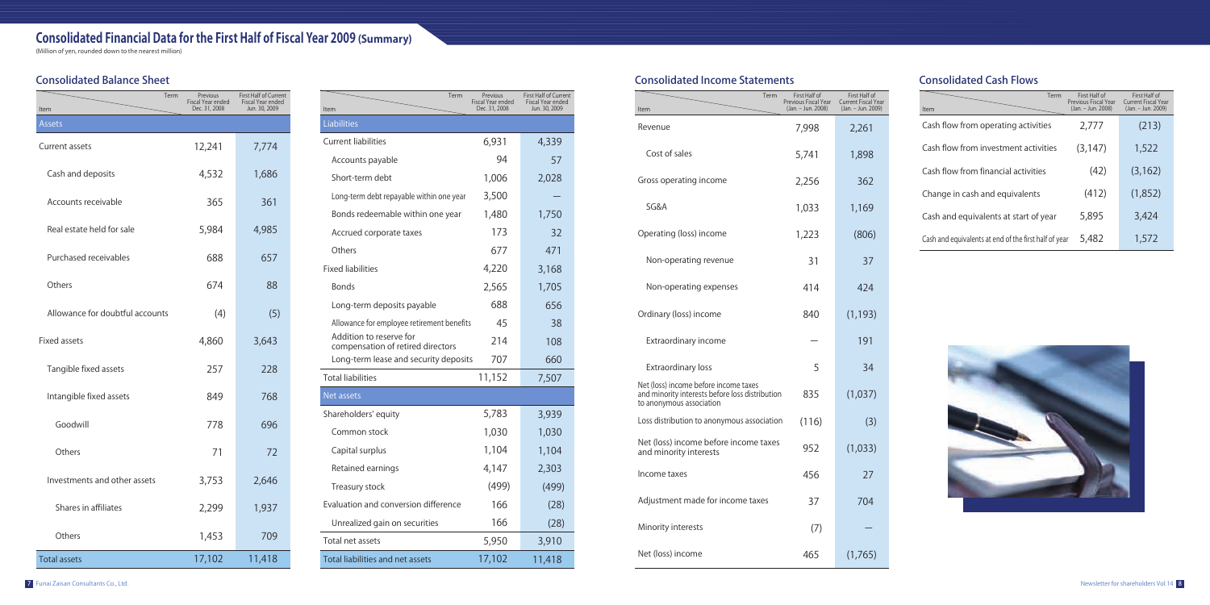# **Consolidated Financial Data for the First Half of Fiscal Year 2009 (Summary)**

(Million of yen, rounded down to the nearest million)

#### Consolidated Balance Sheet

#### Consolidated Income Statements

 $It$ 

| Term<br>Item                                                 | Previous<br>Fiscal Year ended<br>Dec. 31, 2008 | First Half of Current<br>Fiscal Year ended<br>Jun. 30, 2009 |
|--------------------------------------------------------------|------------------------------------------------|-------------------------------------------------------------|
| Liabilities                                                  |                                                |                                                             |
| <b>Current liabilities</b>                                   | 6,931                                          | 4,339                                                       |
| Accounts payable                                             | 94                                             | 57                                                          |
| Short-term debt                                              | 1,006                                          | 2,028                                                       |
| Long-term debt repayable within one year                     | 3,500                                          |                                                             |
| Bonds redeemable within one year                             | 1,480                                          | 1,750                                                       |
| Accrued corporate taxes                                      | 173                                            | 32                                                          |
| Others                                                       | 677                                            | 471                                                         |
| <b>Fixed liabilities</b>                                     | 4,220                                          | 3,168                                                       |
| <b>Bonds</b>                                                 | 2,565                                          | 1,705                                                       |
| Long-term deposits payable                                   | 688                                            | 656                                                         |
| Allowance for employee retirement benefits                   | 45                                             | 38                                                          |
| Addition to reserve for<br>compensation of retired directors | 214                                            | 108                                                         |
| Long-term lease and security deposits                        | 707                                            | 660                                                         |
| <b>Total liabilities</b>                                     | 11,152                                         | 7,507                                                       |
| Net assets                                                   |                                                |                                                             |
| Shareholders' equity                                         | 5,783                                          | 3,939                                                       |
| Common stock                                                 | 1,030                                          | 1,030                                                       |
| Capital surplus                                              | 1,104                                          | 1,104                                                       |
| Retained earnings                                            | 4,147                                          | 2,303                                                       |
| Treasury stock                                               | (499)                                          | (499)                                                       |
| Evaluation and conversion difference                         | 166                                            | (28)                                                        |
| Unrealized gain on securities                                | 166                                            | (28)                                                        |
| Total net assets                                             | 5,950                                          | 3,910                                                       |
| Total liabilities and net assets                             | 17,102                                         | 11,418                                                      |

| Item                            | Term<br>Previous<br>Fiscal Year ended<br>Dec. 31, 2008 | First Half of Current<br>Fiscal Year ended<br>Jun. 30, 2009 |
|---------------------------------|--------------------------------------------------------|-------------------------------------------------------------|
| <b>Assets</b>                   |                                                        |                                                             |
| Current assets                  | 12,241                                                 | 7,774                                                       |
| Cash and deposits               | 4,532                                                  | 1,686                                                       |
| Accounts receivable             | 365                                                    | 361                                                         |
| Real estate held for sale       | 5,984                                                  | 4,985                                                       |
| Purchased receivables           | 688                                                    | 657                                                         |
| Others                          | 674                                                    | 88                                                          |
| Allowance for doubtful accounts | (4)                                                    | (5)                                                         |
| <b>Fixed assets</b>             | 4,860                                                  | 3,643                                                       |
| Tangible fixed assets           | 257                                                    | 228                                                         |
| Intangible fixed assets         | 849                                                    | 768                                                         |
| Goodwill                        | 778                                                    | 696                                                         |
| Others                          | 71                                                     | 72                                                          |
| Investments and other assets    | 3,753                                                  | 2,646                                                       |
| Shares in affiliates            | 2,299                                                  | 1,937                                                       |
| Others                          | 1,453                                                  | 709                                                         |
| <b>Total assets</b>             | 17,102                                                 | 11,418                                                      |

### Consolidated Cash Flows

| Term<br>Item                                                                                                         | First Half of<br>Previous Fiscal Year<br>(Jan. - Jun. 2008) | First Half of<br><b>Current Fiscal Year</b><br>(Jan. - Jun. 2009) | Item                        |
|----------------------------------------------------------------------------------------------------------------------|-------------------------------------------------------------|-------------------------------------------------------------------|-----------------------------|
| Revenue                                                                                                              | 7,998                                                       | 2,261                                                             | Cash flow f                 |
| Cost of sales                                                                                                        | 5,741                                                       | 1,898                                                             | Cash flow f                 |
| Gross operating income                                                                                               | 2,256                                                       | 362                                                               | Cash flow f                 |
| SG&A                                                                                                                 | 1,033                                                       | 1,169                                                             | Change in                   |
| Operating (loss) income                                                                                              | 1,223                                                       | (806)                                                             | Cash and e<br>Cash and equi |
| Non-operating revenue                                                                                                | 31                                                          | 37                                                                |                             |
| Non-operating expenses                                                                                               | 414                                                         | 424                                                               |                             |
| Ordinary (loss) income                                                                                               | 840                                                         | (1, 193)                                                          |                             |
| Extraordinary income                                                                                                 |                                                             | 191                                                               |                             |
| Extraordinary loss                                                                                                   | 5                                                           | 34                                                                |                             |
| Net (loss) income before income taxes<br>and minority interests before loss distribution<br>to anonymous association | 835                                                         | (1,037)                                                           |                             |
| Loss distribution to anonymous association                                                                           | (116)                                                       | (3)                                                               |                             |
| Net (loss) income before income taxes<br>and minority interests                                                      | 952                                                         | (1,033)                                                           |                             |
| Income taxes                                                                                                         | 456                                                         | 27                                                                |                             |
| Adjustment made for income taxes                                                                                     | 37                                                          | 704                                                               |                             |
| Minority interests                                                                                                   | (7)                                                         |                                                                   |                             |
| Net (loss) income                                                                                                    | 465                                                         | (1,765)                                                           |                             |

| Term                                       | First Half of<br>Previous Fiscal Year<br>(Jan. - Jun. 2008) | First Half of<br><b>Current Fiscal Year</b><br>(Jan. - Jun. 2009) |
|--------------------------------------------|-------------------------------------------------------------|-------------------------------------------------------------------|
| from operating activities                  | 2,777                                                       | (213)                                                             |
| from investment activities                 | (3, 147)                                                    | 1,522                                                             |
| from financial activities                  | (42)                                                        | (3, 162)                                                          |
| cash and equivalents                       | (412)                                                       | (1,852)                                                           |
| equivalents at start of year               | 5,895                                                       | 3,424                                                             |
| iivalents at end of the first half of year | 5,482                                                       | 1,572                                                             |